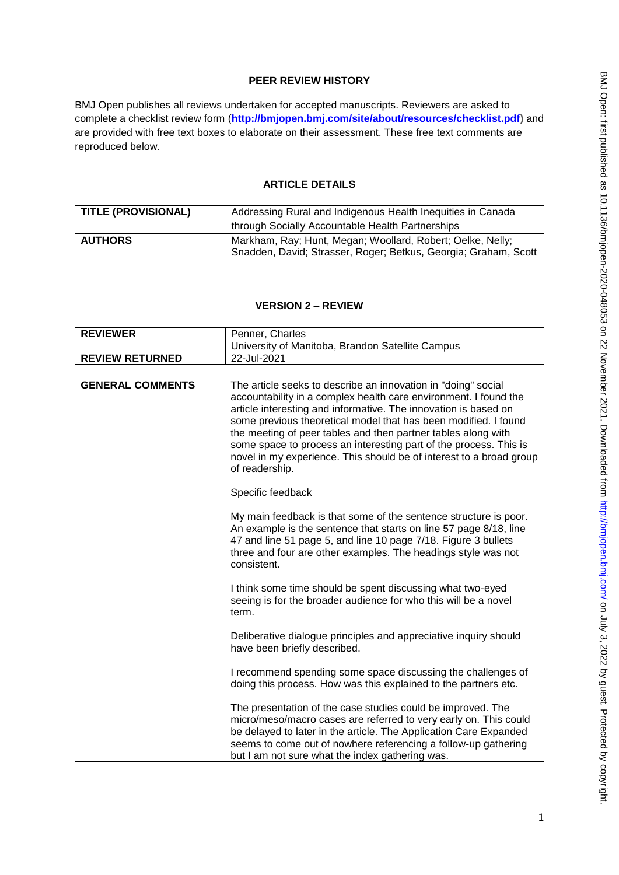## **PEER REVIEW HISTORY**

BMJ Open publishes all reviews undertaken for accepted manuscripts. Reviewers are asked to complete a checklist review form (**[http://bmjopen.bmj.com/site/about/resources/checklist.pdf\)](http://bmjopen.bmj.com/site/about/resources/checklist.pdf)** and are provided with free text boxes to elaborate on their assessment. These free text comments are reproduced below.

### **ARTICLE DETAILS**

| <b>TITLE (PROVISIONAL)</b> | Addressing Rural and Indigenous Health Inequities in Canada     |
|----------------------------|-----------------------------------------------------------------|
|                            | through Socially Accountable Health Partnerships                |
| <b>AUTHORS</b>             | Markham, Ray; Hunt, Megan; Woollard, Robert; Oelke, Nelly;      |
|                            | Snadden, David; Strasser, Roger; Betkus, Georgia; Graham, Scott |

### **VERSION 2 – REVIEW**

| <b>REVIEWER</b>         | Penner, Charles                                                                                                                                                                                                                                                                                                                                                                                                                                                                                        |
|-------------------------|--------------------------------------------------------------------------------------------------------------------------------------------------------------------------------------------------------------------------------------------------------------------------------------------------------------------------------------------------------------------------------------------------------------------------------------------------------------------------------------------------------|
|                         | University of Manitoba, Brandon Satellite Campus                                                                                                                                                                                                                                                                                                                                                                                                                                                       |
| <b>REVIEW RETURNED</b>  | 22-Jul-2021                                                                                                                                                                                                                                                                                                                                                                                                                                                                                            |
|                         |                                                                                                                                                                                                                                                                                                                                                                                                                                                                                                        |
| <b>GENERAL COMMENTS</b> | The article seeks to describe an innovation in "doing" social<br>accountability in a complex health care environment. I found the<br>article interesting and informative. The innovation is based on<br>some previous theoretical model that has been modified. I found<br>the meeting of peer tables and then partner tables along with<br>some space to process an interesting part of the process. This is<br>novel in my experience. This should be of interest to a broad group<br>of readership. |
|                         | Specific feedback                                                                                                                                                                                                                                                                                                                                                                                                                                                                                      |
|                         | My main feedback is that some of the sentence structure is poor.<br>An example is the sentence that starts on line 57 page 8/18, line<br>47 and line 51 page 5, and line 10 page 7/18. Figure 3 bullets<br>three and four are other examples. The headings style was not<br>consistent.                                                                                                                                                                                                                |
|                         | I think some time should be spent discussing what two-eyed<br>seeing is for the broader audience for who this will be a novel<br>term.                                                                                                                                                                                                                                                                                                                                                                 |
|                         | Deliberative dialogue principles and appreciative inquiry should<br>have been briefly described.                                                                                                                                                                                                                                                                                                                                                                                                       |
|                         | I recommend spending some space discussing the challenges of<br>doing this process. How was this explained to the partners etc.                                                                                                                                                                                                                                                                                                                                                                        |
|                         | The presentation of the case studies could be improved. The<br>micro/meso/macro cases are referred to very early on. This could<br>be delayed to later in the article. The Application Care Expanded<br>seems to come out of nowhere referencing a follow-up gathering<br>but I am not sure what the index gathering was.                                                                                                                                                                              |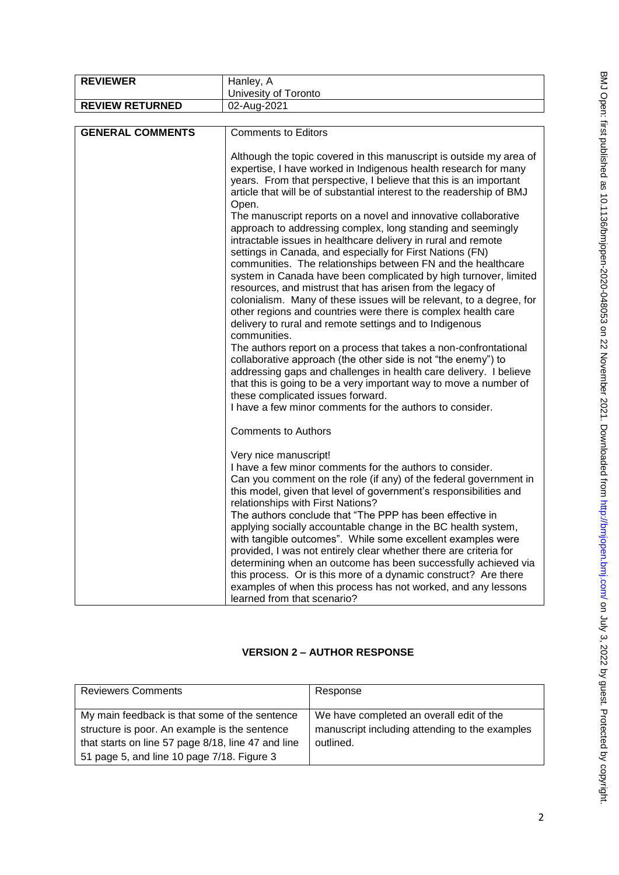| <b>REVIEWER</b>         | Hanley, A                                                                                                                                                                                                                                                                                                                                                                                                                                                                                                                                                                                                                                                                                                                                                                                                                                                                                                                                                                                                                                                                                                                                                                                                                                                                                                                                                          |
|-------------------------|--------------------------------------------------------------------------------------------------------------------------------------------------------------------------------------------------------------------------------------------------------------------------------------------------------------------------------------------------------------------------------------------------------------------------------------------------------------------------------------------------------------------------------------------------------------------------------------------------------------------------------------------------------------------------------------------------------------------------------------------------------------------------------------------------------------------------------------------------------------------------------------------------------------------------------------------------------------------------------------------------------------------------------------------------------------------------------------------------------------------------------------------------------------------------------------------------------------------------------------------------------------------------------------------------------------------------------------------------------------------|
|                         | Univesity of Toronto                                                                                                                                                                                                                                                                                                                                                                                                                                                                                                                                                                                                                                                                                                                                                                                                                                                                                                                                                                                                                                                                                                                                                                                                                                                                                                                                               |
| <b>REVIEW RETURNED</b>  | 02-Aug-2021                                                                                                                                                                                                                                                                                                                                                                                                                                                                                                                                                                                                                                                                                                                                                                                                                                                                                                                                                                                                                                                                                                                                                                                                                                                                                                                                                        |
|                         |                                                                                                                                                                                                                                                                                                                                                                                                                                                                                                                                                                                                                                                                                                                                                                                                                                                                                                                                                                                                                                                                                                                                                                                                                                                                                                                                                                    |
| <b>GENERAL COMMENTS</b> | <b>Comments to Editors</b>                                                                                                                                                                                                                                                                                                                                                                                                                                                                                                                                                                                                                                                                                                                                                                                                                                                                                                                                                                                                                                                                                                                                                                                                                                                                                                                                         |
|                         | Although the topic covered in this manuscript is outside my area of<br>expertise, I have worked in Indigenous health research for many<br>years. From that perspective, I believe that this is an important<br>article that will be of substantial interest to the readership of BMJ<br>Open.<br>The manuscript reports on a novel and innovative collaborative<br>approach to addressing complex, long standing and seemingly<br>intractable issues in healthcare delivery in rural and remote<br>settings in Canada, and especially for First Nations (FN)<br>communities. The relationships between FN and the healthcare<br>system in Canada have been complicated by high turnover, limited<br>resources, and mistrust that has arisen from the legacy of<br>colonialism. Many of these issues will be relevant, to a degree, for<br>other regions and countries were there is complex health care<br>delivery to rural and remote settings and to Indigenous<br>communities.<br>The authors report on a process that takes a non-confrontational<br>collaborative approach (the other side is not "the enemy") to<br>addressing gaps and challenges in health care delivery. I believe<br>that this is going to be a very important way to move a number of<br>these complicated issues forward.<br>I have a few minor comments for the authors to consider. |
|                         | <b>Comments to Authors</b>                                                                                                                                                                                                                                                                                                                                                                                                                                                                                                                                                                                                                                                                                                                                                                                                                                                                                                                                                                                                                                                                                                                                                                                                                                                                                                                                         |
|                         | Very nice manuscript!<br>I have a few minor comments for the authors to consider.<br>Can you comment on the role (if any) of the federal government in<br>this model, given that level of government's responsibilities and<br>relationships with First Nations?<br>The authors conclude that "The PPP has been effective in<br>applying socially accountable change in the BC health system,<br>with tangible outcomes". While some excellent examples were<br>provided, I was not entirely clear whether there are criteria for<br>determining when an outcome has been successfully achieved via<br>this process. Or is this more of a dynamic construct? Are there<br>examples of when this process has not worked, and any lessons<br>learned from that scenario?                                                                                                                                                                                                                                                                                                                                                                                                                                                                                                                                                                                             |

# **VERSION 2 – AUTHOR RESPONSE**

| <b>Reviewers Comments</b>                          | Response                                       |
|----------------------------------------------------|------------------------------------------------|
|                                                    |                                                |
| My main feedback is that some of the sentence      | We have completed an overall edit of the       |
| structure is poor. An example is the sentence      | manuscript including attending to the examples |
| that starts on line 57 page 8/18, line 47 and line | outlined.                                      |
| 51 page 5, and line 10 page 7/18. Figure 3         |                                                |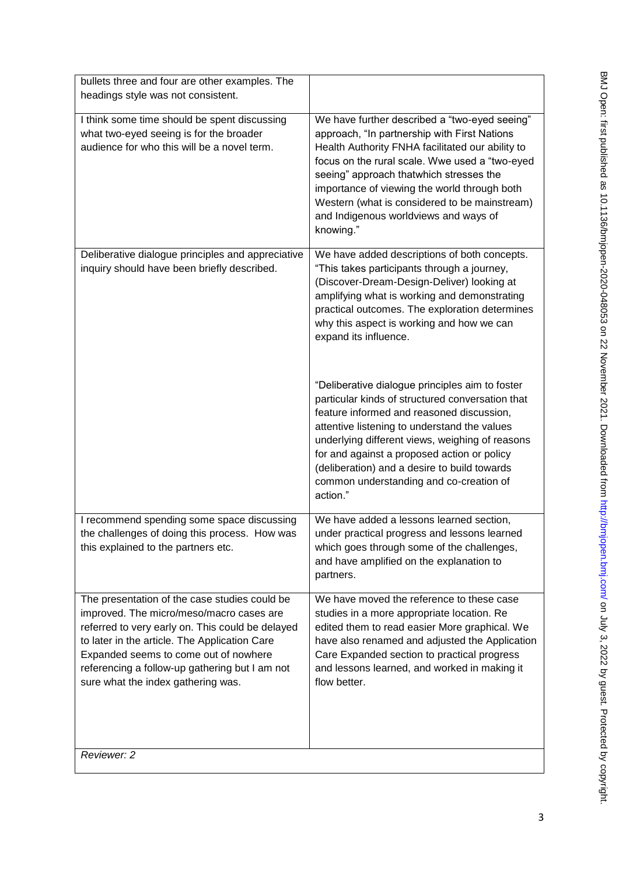| bullets three and four are other examples. The                                                                                                                                                                                                                                                                                  |                                                                                                                                                                                                                                                                                                                                                                                                                                                                                                                                                                                                                                                                                |
|---------------------------------------------------------------------------------------------------------------------------------------------------------------------------------------------------------------------------------------------------------------------------------------------------------------------------------|--------------------------------------------------------------------------------------------------------------------------------------------------------------------------------------------------------------------------------------------------------------------------------------------------------------------------------------------------------------------------------------------------------------------------------------------------------------------------------------------------------------------------------------------------------------------------------------------------------------------------------------------------------------------------------|
| headings style was not consistent.                                                                                                                                                                                                                                                                                              |                                                                                                                                                                                                                                                                                                                                                                                                                                                                                                                                                                                                                                                                                |
| I think some time should be spent discussing<br>what two-eyed seeing is for the broader<br>audience for who this will be a novel term.                                                                                                                                                                                          | We have further described a "two-eyed seeing"<br>approach, "In partnership with First Nations<br>Health Authority FNHA facilitated our ability to<br>focus on the rural scale. Wwe used a "two-eyed<br>seeing" approach thatwhich stresses the<br>importance of viewing the world through both<br>Western (what is considered to be mainstream)<br>and Indigenous worldviews and ways of<br>knowing."                                                                                                                                                                                                                                                                          |
| Deliberative dialogue principles and appreciative                                                                                                                                                                                                                                                                               | We have added descriptions of both concepts.                                                                                                                                                                                                                                                                                                                                                                                                                                                                                                                                                                                                                                   |
| inquiry should have been briefly described.                                                                                                                                                                                                                                                                                     | "This takes participants through a journey,<br>(Discover-Dream-Design-Deliver) looking at<br>amplifying what is working and demonstrating<br>practical outcomes. The exploration determines<br>why this aspect is working and how we can<br>expand its influence.<br>"Deliberative dialogue principles aim to foster<br>particular kinds of structured conversation that<br>feature informed and reasoned discussion,<br>attentive listening to understand the values<br>underlying different views, weighing of reasons<br>for and against a proposed action or policy<br>(deliberation) and a desire to build towards<br>common understanding and co-creation of<br>action." |
| I recommend spending some space discussing                                                                                                                                                                                                                                                                                      | We have added a lessons learned section,                                                                                                                                                                                                                                                                                                                                                                                                                                                                                                                                                                                                                                       |
| the challenges of doing this process. How was<br>this explained to the partners etc.                                                                                                                                                                                                                                            | under practical progress and lessons learned<br>which goes through some of the challenges,<br>and have amplified on the explanation to<br>partners.                                                                                                                                                                                                                                                                                                                                                                                                                                                                                                                            |
| The presentation of the case studies could be<br>improved. The micro/meso/macro cases are<br>referred to very early on. This could be delayed<br>to later in the article. The Application Care<br>Expanded seems to come out of nowhere<br>referencing a follow-up gathering but I am not<br>sure what the index gathering was. | We have moved the reference to these case<br>studies in a more appropriate location. Re<br>edited them to read easier More graphical. We<br>have also renamed and adjusted the Application<br>Care Expanded section to practical progress<br>and lessons learned, and worked in making it<br>flow better.                                                                                                                                                                                                                                                                                                                                                                      |
| Reviewer: 2                                                                                                                                                                                                                                                                                                                     |                                                                                                                                                                                                                                                                                                                                                                                                                                                                                                                                                                                                                                                                                |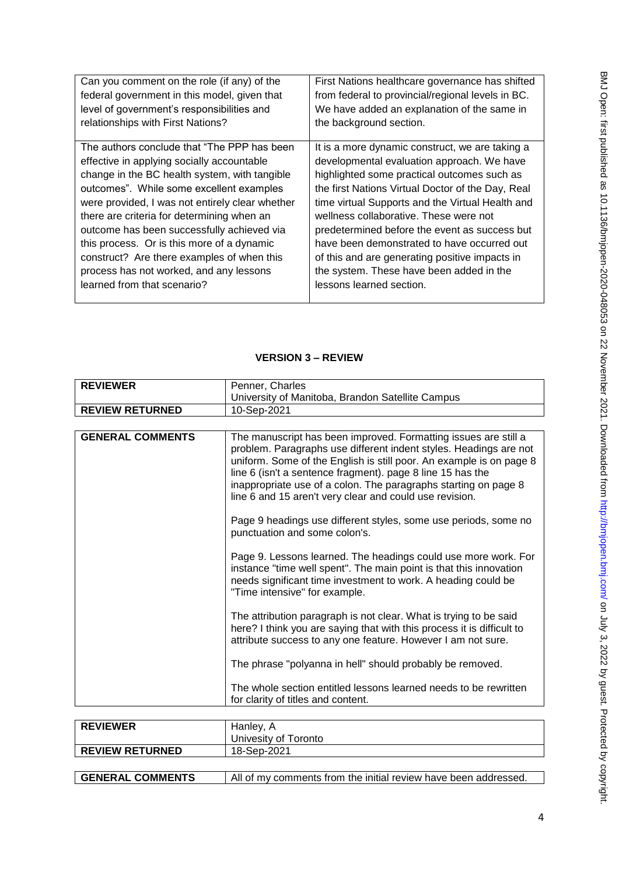| Can you comment on the role (if any) of the     | First Nations healthcare governance has shifted   |
|-------------------------------------------------|---------------------------------------------------|
| federal government in this model, given that    | from federal to provincial/regional levels in BC. |
| level of government's responsibilities and      | We have added an explanation of the same in       |
| relationships with First Nations?               | the background section.                           |
|                                                 |                                                   |
| The authors conclude that "The PPP has been     | It is a more dynamic construct, we are taking a   |
| effective in applying socially accountable      | developmental evaluation approach. We have        |
| change in the BC health system, with tangible   | highlighted some practical outcomes such as       |
| outcomes". While some excellent examples        | the first Nations Virtual Doctor of the Day, Real |
| were provided, I was not entirely clear whether | time virtual Supports and the Virtual Health and  |
| there are criteria for determining when an      | wellness collaborative. These were not            |
| outcome has been successfully achieved via      | predetermined before the event as success but     |
| this process. Or is this more of a dynamic      | have been demonstrated to have occurred out       |
| construct? Are there examples of when this      | of this and are generating positive impacts in    |
| process has not worked, and any lessons         | the system. These have been added in the          |
| learned from that scenario?                     | lessons learned section.                          |
|                                                 |                                                   |

# **VERSION 3 – REVIEW**

| <b>REVIEWER</b>         | Penner, Charles                                                                                                                                                                                                                                                                                                                                                                                         |
|-------------------------|---------------------------------------------------------------------------------------------------------------------------------------------------------------------------------------------------------------------------------------------------------------------------------------------------------------------------------------------------------------------------------------------------------|
|                         | University of Manitoba, Brandon Satellite Campus                                                                                                                                                                                                                                                                                                                                                        |
| <b>REVIEW RETURNED</b>  | 10-Sep-2021                                                                                                                                                                                                                                                                                                                                                                                             |
|                         |                                                                                                                                                                                                                                                                                                                                                                                                         |
|                         |                                                                                                                                                                                                                                                                                                                                                                                                         |
| <b>GENERAL COMMENTS</b> | The manuscript has been improved. Formatting issues are still a<br>problem. Paragraphs use different indent styles. Headings are not<br>uniform. Some of the English is still poor. An example is on page 8<br>line 6 (isn't a sentence fragment). page 8 line 15 has the<br>inappropriate use of a colon. The paragraphs starting on page 8<br>line 6 and 15 aren't very clear and could use revision. |
|                         | Page 9 headings use different styles, some use periods, some no<br>punctuation and some colon's.                                                                                                                                                                                                                                                                                                        |
|                         | Page 9. Lessons learned. The headings could use more work. For<br>instance "time well spent". The main point is that this innovation<br>needs significant time investment to work. A heading could be<br>"Time intensive" for example.                                                                                                                                                                  |
|                         | The attribution paragraph is not clear. What is trying to be said<br>here? I think you are saying that with this process it is difficult to<br>attribute success to any one feature. However I am not sure.                                                                                                                                                                                             |
|                         | The phrase "polyanna in hell" should probably be removed.                                                                                                                                                                                                                                                                                                                                               |
|                         | The whole section entitled lessons learned needs to be rewritten<br>for clarity of titles and content.                                                                                                                                                                                                                                                                                                  |
|                         |                                                                                                                                                                                                                                                                                                                                                                                                         |

| <b>REVIEWER</b>         | Hanley, A<br>Univesity of Toronto                               |
|-------------------------|-----------------------------------------------------------------|
| <b>REVIEW RETURNED</b>  | 18-Sep-2021                                                     |
|                         |                                                                 |
| <b>GENERAL COMMENTS</b> | All of my comments from the initial review have been addressed. |